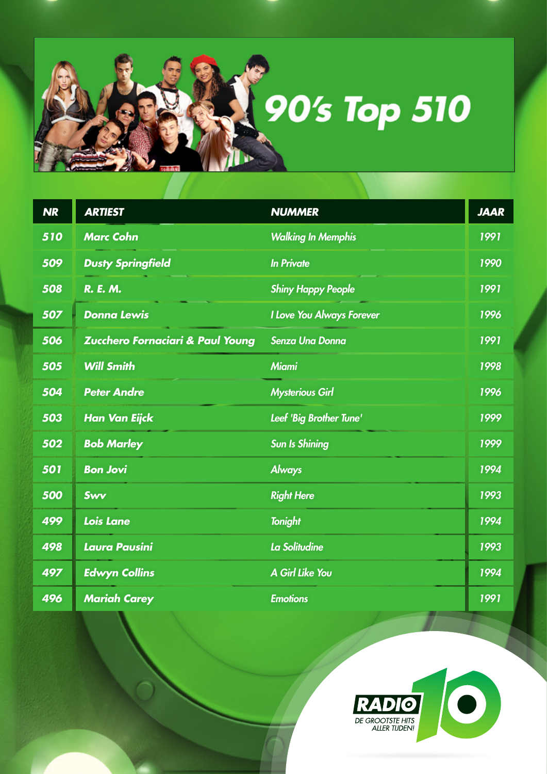

| <b>NR</b> | <b>ARTIEST</b>                   | <b>NUMMER</b>             | <b>JAAR</b> |
|-----------|----------------------------------|---------------------------|-------------|
| 510       | <b>Marc Cohn</b>                 | <b>Walking In Memphis</b> | 1991        |
| 509       | <b>Dusty Springfield</b>         | <b>In Private</b>         | 1990        |
| 508       | <b>R. E. M.</b>                  | <b>Shiny Happy People</b> | 1991        |
| 507       | <b>Donna Lewis</b>               | I Love You Always Forever | 1996        |
| 506       | Zucchero Fornaciari & Paul Young | <b>Senza Una Donna</b>    | 1991        |
| 505       | <b>Will Smith</b>                | <b>Miami</b>              | 1998        |
| 504       | <b>Peter Andre</b>               | <b>Mysterious Girl</b>    | 1996        |
| 503       | <b>Han Van Eijck</b>             | Leef 'Big Brother Tune'   | 1999        |
| 502       | <b>Bob Marley</b>                | <b>Sun Is Shining</b>     | 1999        |
| 501       | <b>Bon Jovi</b>                  | <b>Always</b>             | 1994        |
| 500       | Swy                              | <b>Right Here</b>         | 1993        |
| 499       | <b>Lois Lane</b>                 | <b>Tonight</b>            | 1994        |
| 498       | Laura Pausini                    | La Solitudine             | 1993        |
| 497       | <b>Edwyn Collins</b>             | A Girl Like You           | 1994        |
| 496       | <b>Mariah Carey</b>              | <b>Emotions</b>           | 1991        |

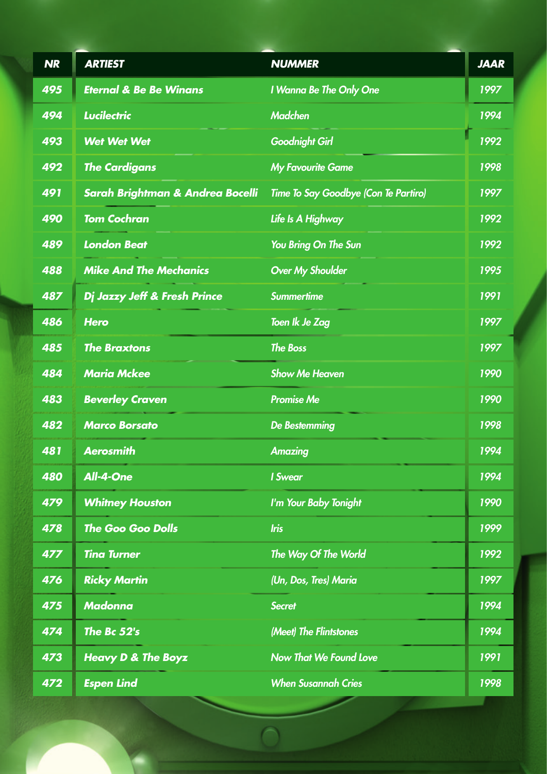| <b>NR</b> | <b>ARTIEST</b>                              | <b>NUMMER</b>                        | <b>JAAR</b> |
|-----------|---------------------------------------------|--------------------------------------|-------------|
| 495       | <b>Eternal &amp; Be Be Winans</b>           | I Wanna Be The Only One              | 1997        |
| 494       | <b>Lucilectric</b>                          | <b>Madchen</b>                       | 1994        |
| 493       | <b>Wet Wet Wet</b>                          | <b>Goodnight Girl</b>                | 1992        |
| 492       | <b>The Cardigans</b>                        | <b>My Favourite Game</b>             | 1998        |
| 491       | <b>Sarah Brightman &amp; Andrea Bocelli</b> | Time To Say Goodbye (Con Te Partiro) | 1997        |
| 490       | <b>Tom Cochran</b>                          | Life Is A Highway                    | 1992        |
| 489       | <b>London Beat</b>                          | You Bring On The Sun                 | 1992        |
| 488       | <b>Mike And The Mechanics</b>               | <b>Over My Shoulder</b>              | 1995        |
| 487       | Dj Jazzy Jeff & Fresh Prince                | <b>Summertime</b>                    | 1991        |
| 486       | <b>Hero</b>                                 | Toen Ik Je Zag                       | 1997        |
| 485       | <b>The Braxtons</b>                         | <b>The Boss</b>                      | 1997        |
| 484       | <b>Maria Mckee</b>                          | <b>Show Me Heaven</b>                | 1990        |
| 483       | <b>Beverley Craven</b>                      | <b>Promise Me</b>                    | 1990        |
| 482       | <b>Marco Borsato</b>                        | <b>De Bestemming</b>                 | 1998        |
| 481       | <b>Aerosmith</b>                            | <b>Amazing</b>                       | 1994        |
| 480       | All-4-One                                   | <b>I</b> Swear                       | 1994        |
| 479       | <b>Whitney Houston</b>                      | I'm Your Baby Tonight                | 1990        |
| 478       | <b>The Goo Goo Dolls</b>                    | <b>Iris</b>                          | 1999        |
| 477       | <b>Tina Turner</b>                          | The Way Of The World                 | 1992        |
| 476       | <b>Ricky Martin</b>                         | (Un, Dos, Tres) Maria                | 1997        |
| 475       | <b>Madonna</b>                              | <b>Secret</b>                        | 1994        |
| 474       | The Bc 52's                                 | (Meet) The Flintstones               | 1994        |
| 473       | <b>Heavy D &amp; The Boyz</b>               | <b>Now That We Found Love</b>        | 1991        |
| 472       | <b>Espen Lind</b>                           | <b>When Susannah Cries</b>           | 1998        |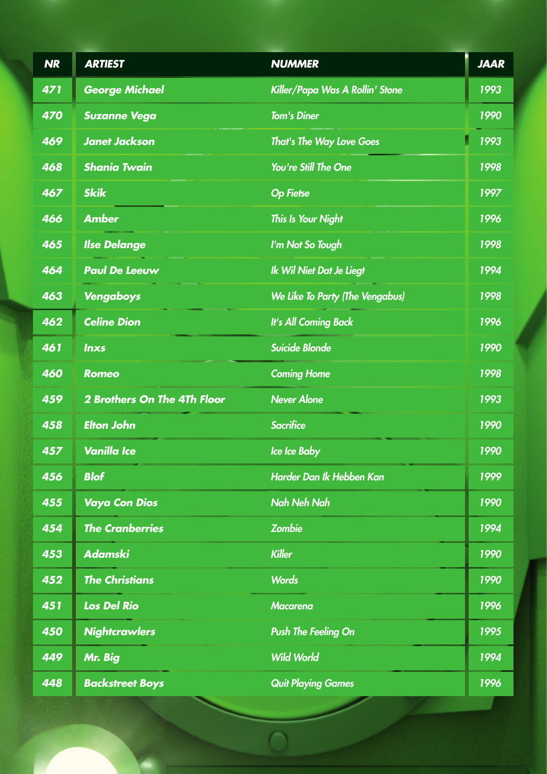| <b>NR</b> | <b>ARTIEST</b>                     | <b>NUMMER</b>                          | <b>JAAR</b> |
|-----------|------------------------------------|----------------------------------------|-------------|
| 471       | <b>George Michael</b>              | Killer/Papa Was A Rollin' Stone        | 1993        |
| 470       | <b>Suzanne Vega</b>                | <b>Tom's Diner</b>                     | 1990        |
| 469       | <b>Janet Jackson</b>               | <b>That's The Way Love Goes</b>        | 1993        |
| 468       | <b>Shania Twain</b>                | You're Still The One                   | 1998        |
| 467       | <b>Skik</b>                        | <b>Op Fietse</b>                       | 1997        |
| 466       | <b>Amber</b>                       | <b>This Is Your Night</b>              | 1996        |
| 465       | <b>Ilse Delange</b>                | I'm Not So Tough                       | 1998        |
| 464       | <b>Paul De Leeuw</b>               | Ik Wil Niet Dat Je Liegt               | 1994        |
| 463       | Vengaboys                          | <b>We Like To Party (The Vengabus)</b> | 1998        |
| 462       | <b>Celine Dion</b>                 | <b>It's All Coming Back</b>            | 1996        |
| 461       | <b>Inxs</b>                        | <b>Suicide Blonde</b>                  | 1990        |
| 460       | <b>Romeo</b>                       | <b>Coming Home</b>                     | 1998        |
| 459       | <b>2 Brothers On The 4Th Floor</b> | Never Alone                            | 1993        |
| 458       | <b>Elton John</b>                  | <b>Sacrifice</b>                       | 1990        |
| 457       | <b>Vanilla Ice</b>                 | Ice Ice Baby                           | 1990        |
| 456       | <b>Blof</b>                        | Harder Dan Ik Hebben Kan               | 1999        |
| 455       | <b>Vaya Con Dios</b>               | <b>Nah Neh Nah</b>                     | 1990        |
| 454       | <b>The Cranberries</b>             | <b>Zombie</b>                          | 1994        |
| 453       | <b>Adamski</b>                     | <b>Killer</b>                          | 1990        |
| 452       | <b>The Christians</b>              | <b>Words</b>                           | 1990        |
| 451       | <b>Los Del Rio</b>                 | <b>Macarena</b>                        | 1996        |
| 450       | <b>Nightcrawlers</b>               | <b>Push The Feeling On</b>             | 1995        |
| 449       | Mr. Big                            | <b>Wild World</b>                      | 1994        |
| 448       | <b>Backstreet Boys</b>             | <b>Quit Playing Games</b>              | 1996        |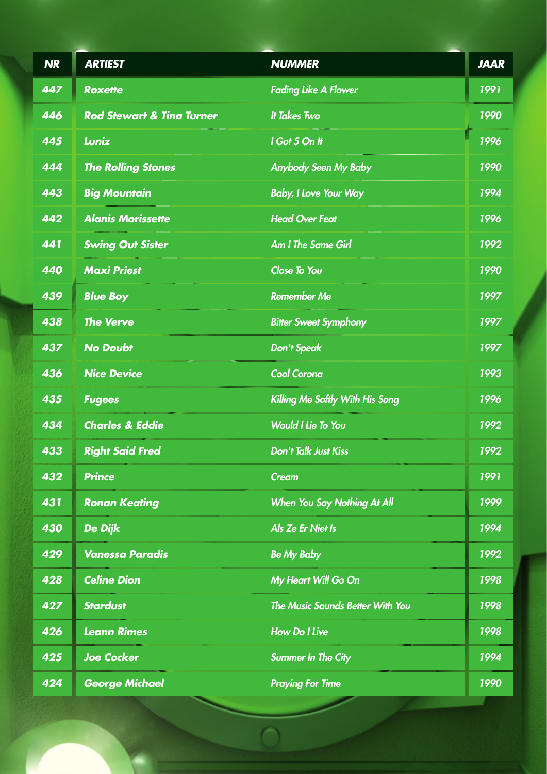| <b>NR</b> | <b>ARTIEST</b>                       | <b>NUMMER</b>                           | <b>JAAR</b> |
|-----------|--------------------------------------|-----------------------------------------|-------------|
| 447       | <b>Roxette</b>                       | <b>Fading Like A Flower</b>             | 1991        |
| 446       | <b>Rod Stewart &amp; Tina Turner</b> | <b>It Takes Two</b>                     | 1990        |
| 445       | Luniz                                | I Got 5 On It                           | 1996        |
| 444       | <b>The Rolling Stones</b>            | <b>Anybody Seen My Baby</b>             | 1990        |
| 443       | <b>Big Mountain</b>                  | <b>Baby, I Love Your Way</b>            | 1994        |
| 442       | <b>Alanis Morissette</b>             | <b>Head Over Feat</b>                   | 1996        |
| 441       | <b>Swing Out Sister</b>              | <b>Am I The Same Girl</b>               | 1992        |
| 440       | <b>Maxi Priest</b>                   | Close To You                            | 1990        |
| 439       | <b>Blue Boy</b>                      | <b>Remember Me</b>                      | 1997        |
| 438       | <b>The Verve</b>                     | <b>Bitter Sweet Symphony</b>            | 1997        |
| 437       | <b>No Doubt</b>                      | <b>Don't Speak</b>                      | 1997        |
| 436       | <b>Nice Device</b>                   | <b>Cool Corona</b>                      | 1993        |
| 435       | <b>Fugees</b>                        | Killing Me Softly With His Song         | 1996        |
| 434       | <b>Charles &amp; Eddie</b>           | <b>Would I Lie To You</b>               | 1992        |
| 433       | <b>Right Said Fred</b>               | <b>Don't Talk Just Kiss</b>             | 1992        |
| 432       | <b>Prince</b>                        | <b>Cream</b>                            | 1991        |
| 431       | <b>Ronan Keating</b>                 | <b>When You Say Nothing At All</b>      | 1999        |
| 430       | De Dijk                              | Als Ze Er Niet Is                       | 1994        |
| 429       | <b>Vanessa Paradis</b>               | <b>Be My Baby</b>                       | 1992        |
| 428       | <b>Celine Dion</b>                   | My Heart Will Go On                     | 1998        |
| 427       | <b>Stardust</b>                      | <b>The Music Sounds Better With You</b> | 1998        |
| 426       | <b>Leann Rimes</b>                   | <b>How Do I Live</b>                    | 1998        |
| 425       | <b>Joe Cocker</b>                    | <b>Summer In The City</b>               | 1994        |
| 424       | <b>George Michael</b>                | <b>Praying For Time</b>                 | 1990        |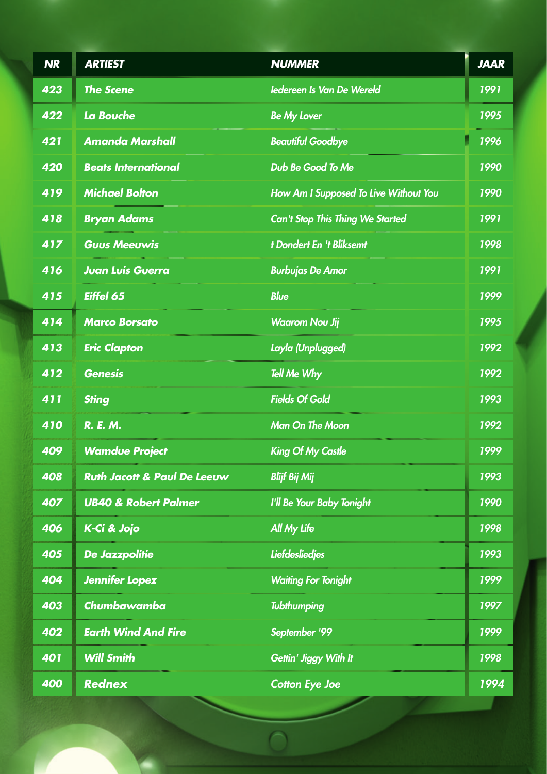| <b>NR</b> | <b>ARTIEST</b>                         | <b>NUMMER</b>                           | <b>JAAR</b> |
|-----------|----------------------------------------|-----------------------------------------|-------------|
| 423       | <b>The Scene</b>                       | ledereen Is Van De Wereld               | 1991        |
| 422       | La Bouche                              | <b>Be My Lover</b>                      | 1995        |
| 421       | <b>Amanda Marshall</b>                 | <b>Beautiful Goodbye</b>                | 1996        |
| 420       | <b>Beats International</b>             | Dub Be Good To Me                       | 1990        |
| 419       | <b>Michael Bolton</b>                  | How Am I Supposed To Live Without You   | 1990        |
| 418       | <b>Bryan Adams</b>                     | <b>Can't Stop This Thing We Started</b> | 1991        |
| 417       | <b>Guus Meeuwis</b>                    | t Dondert En 't Bliksemt                | 1998        |
| 416       | <b>Juan Luis Guerra</b>                | <b>Burbujas De Amor</b>                 | 1991        |
| 415       | Eiffel 65                              | <b>Blue</b>                             | 1999        |
| 414       | <b>Marco Borsato</b>                   | <b>Waarom Nou Jij</b>                   | 1995        |
| 413       | <b>Eric Clapton</b>                    | Layla (Unplugged)                       | 1992        |
| 412       | <b>Genesis</b>                         | <b>Tell Me Why</b>                      | 1992        |
| 411       | <b>Sting</b>                           | <b>Fields Of Gold</b>                   | 1993        |
| 410       | R. E. M.                               | <b>Man On The Moon</b>                  | 1992        |
| 409       | <b>Wamdue Project</b>                  | <b>King Of My Castle</b>                | 1999        |
| 408       | <b>Ruth Jacott &amp; Paul De Leeuw</b> | <b>Blijf Bij Mij</b>                    | 1993        |
| 407       | <b>UB40 &amp; Robert Palmer</b>        | I'll Be Your Baby Tonight               | 1990        |
| 406       | K-Ci & Jojo                            | <b>All My Life</b>                      | 1998        |
| 405       | <b>De Jazzpolitie</b>                  | <b>Liefdesliedjes</b>                   | 1993        |
| 404       | <b>Jennifer Lopez</b>                  | <b>Waiting For Tonight</b>              | 1999        |
| 403       | Chumbawamba                            | <b>Tubthumping</b>                      | 1997        |
| 402       | <b>Earth Wind And Fire</b>             | September '99                           | 1999        |
| 401       | <b>Will Smith</b>                      | Gettin' Jiggy With It                   | 1998        |
| 400       | <b>Rednex</b>                          | <b>Cotton Eye Joe</b>                   | 1994        |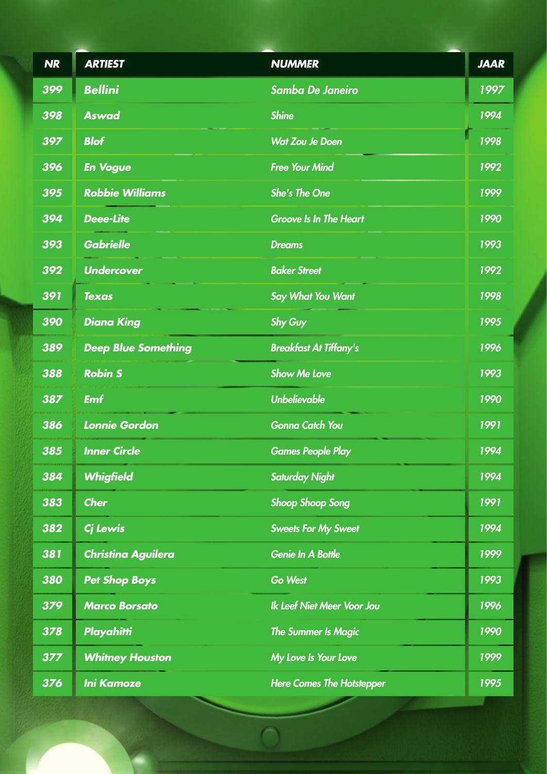| <b>NR</b> | <b>ARTIEST</b>             | <b>NUMMER</b>                     | <b>JAAR</b> |
|-----------|----------------------------|-----------------------------------|-------------|
| 399       | <b>Bellini</b>             | <b>Samba De Janeiro</b>           | 1997        |
| 398       | <b>Aswad</b>               | <b>Shine</b>                      | 1994        |
| 397       | <b>Blof</b>                | <b>Wat Zou Je Doen</b>            | 1998        |
| 396       | <b>En Vogue</b>            | <b>Free Your Mind</b>             | 1992        |
| 395       | <b>Robbie Williams</b>     | <b>She's The One</b>              | 1999        |
| 394       | <b>Deee-Lite</b>           | <b>Groove Is In The Heart</b>     | 1990        |
| 393       | <b>Gabrielle</b>           | <b>Dreams</b>                     | 1993        |
| 392       | <b>Undercover</b>          | <b>Baker Street</b>               | 1992        |
| 391       | <b>Texas</b>               | <b>Say What You Want</b>          | 1998        |
| 390       | <b>Diana King</b>          | <b>Shy Guy</b>                    | 1995        |
| 389       | <b>Deep Blue Something</b> | <b>Breakfast At Tiffany's</b>     | 1996        |
| 388       | <b>Robin S</b>             | <b>Show Me Love</b>               | 1993        |
| 387       | <b>Emf</b>                 | <b>Unbelievable</b>               | 1990        |
| 386       | <b>Lonnie Gordon</b>       | <b>Gonna Catch You</b>            | 1991        |
| 385       | <b>Inner Circle</b>        | <b>Games People Play</b>          | 1994        |
| 384       | <b>Whigfield</b>           | <b>Saturday Night</b>             | 1994        |
| 383       | <b>Cher</b>                | <b>Shoop Shoop Song</b>           | 1991        |
| 382       | Cj Lewis                   | <b>Sweets For My Sweet</b>        | 1994        |
| 381       | <b>Christina Aguilera</b>  | <b>Genie In A Bottle</b>          | 1999        |
| 380       | <b>Pet Shop Boys</b>       | <b>Go West</b>                    | 1993        |
| 379       | <b>Marco Borsato</b>       | <b>Ik Leef Niet Meer Voor Jou</b> | 1996        |
| 378       | <b>Playahitti</b>          | <b>The Summer Is Magic</b>        | 1990        |
| 377       | <b>Whitney Houston</b>     | My Love Is Your Love              | 1999        |
| 376       | <b>Ini Kamoze</b>          | <b>Here Comes The Hotstepper</b>  | 1995        |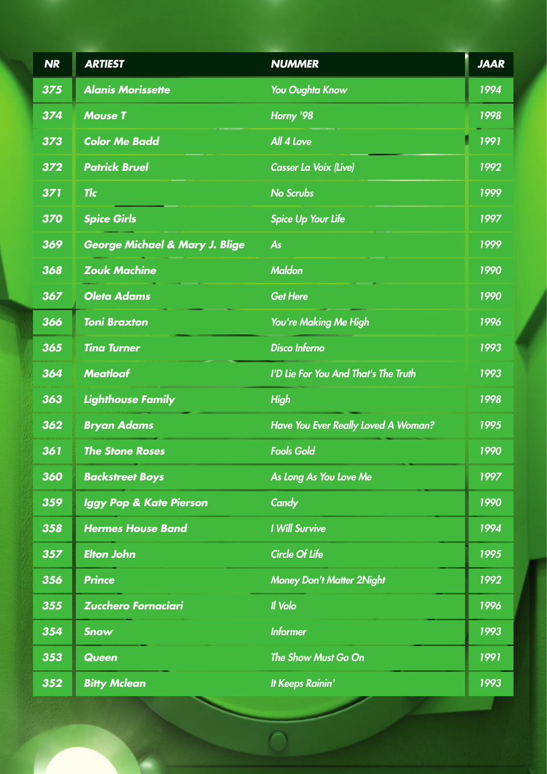| <b>NR</b> | <b>ARTIEST</b>                            | <b>NUMMER</b>                        | <b>JAAR</b> |
|-----------|-------------------------------------------|--------------------------------------|-------------|
| 375       | <b>Alanis Morissette</b>                  | <b>You Oughta Know</b>               | 1994        |
| 374       | <b>Mouse T</b>                            | Horny '98                            | 1998        |
| 373       | <b>Color Me Badd</b>                      | All 4 Love                           | 1991        |
| 372       | <b>Patrick Bruel</b>                      | <b>Casser La Voix (Live)</b>         | 1992        |
| 371       | <b>Tlc</b>                                | <b>No Scrubs</b>                     | 1999        |
| 370       | <b>Spice Girls</b>                        | <b>Spice Up Your Life</b>            | 1997        |
| 369       | <b>George Michael &amp; Mary J. Blige</b> | As                                   | 1999        |
| 368       | <b>Zouk Machine</b>                       | <b>Maldon</b>                        | 1990        |
| 367       | <b>Oleta Adams</b>                        | <b>Get Here</b>                      | 1990        |
| 366       | <b>Toni Braxton</b>                       | You're Making Me High                | 1996        |
| 365       | <b>Tina Turner</b>                        | <b>Disco Inferno</b>                 | 1993        |
| 364       | <b>Meatloaf</b>                           | I'D Lie For You And That's The Truth | 1993        |
| 363       | <b>Lighthouse Family</b>                  | <b>High</b>                          | 1998        |
| 362       | <b>Bryan Adams</b>                        | Have You Ever Really Loved A Woman?  | 1995        |
| 361       | <b>The Stone Roses</b>                    | <b>Fools Gold</b>                    | 1990        |
| 360       | <b>Backstreet Boys</b>                    | As Long As You Love Me               | 1997        |
| 359       | <b>Iggy Pop &amp; Kate Pierson</b>        | Candy                                | 1990        |
| 358       | <b>Hermes House Band</b>                  | <b>I Will Survive</b>                | 1994        |
| 357       | <b>Elton John</b>                         | <b>Circle Of Life</b>                | 1995        |
| 356       | <b>Prince</b>                             | <b>Money Don't Matter 2Night</b>     | 1992        |
| 355       | <b>Zucchero Fornaciari</b>                | Il Volo                              | 1996        |
| 354       | <b>Snow</b>                               | <b>Informer</b>                      | 1993        |
| 353       | <b>Queen</b>                              | The Show Must Go On                  | 1991        |
| 352       | <b>Bitty Mclean</b>                       | It Keeps Rainin'                     | 1993        |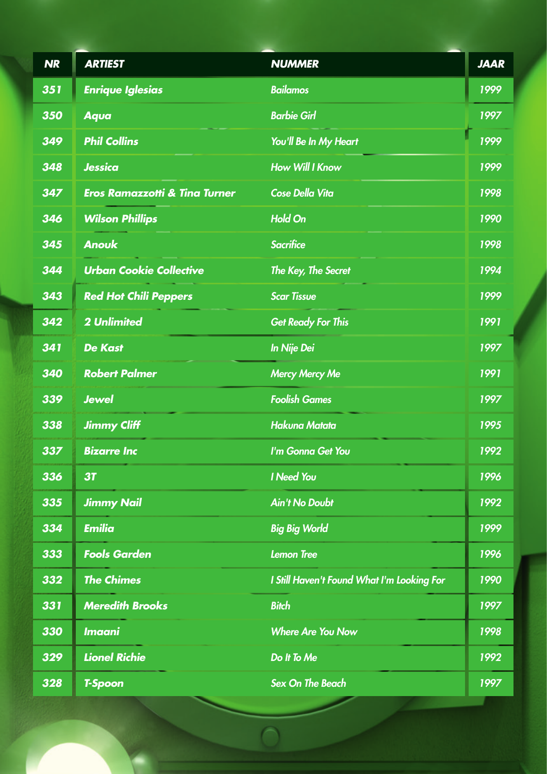| <b>NR</b> | <b>ARTIEST</b>                           | <b>NUMMER</b>                              | <b>JAAR</b> |
|-----------|------------------------------------------|--------------------------------------------|-------------|
| 351       | <b>Enrique Iglesias</b>                  | <b>Bailamos</b>                            | 1999        |
| 350       | <b>Aqua</b>                              | <b>Barbie Girl</b>                         | 1997        |
| 349       | <b>Phil Collins</b>                      | You'll Be In My Heart                      | 1999        |
| 348       | <b>Jessica</b>                           | <b>How Will I Know</b>                     | 1999        |
| 347       | <b>Eros Ramazzotti &amp; Tina Turner</b> | <b>Cose Della Vita</b>                     | 1998        |
| 346       | <b>Wilson Phillips</b>                   | <b>Hold On</b>                             | 1990        |
| 345       | <b>Anouk</b>                             | <b>Sacrifice</b>                           | 1998        |
| 344       | <b>Urban Cookie Collective</b>           | The Key, The Secret                        | 1994        |
| 343       | <b>Red Hot Chili Peppers</b>             | <b>Scar Tissue</b>                         | 1999        |
| 342       | <b>2 Unlimited</b>                       | <b>Get Ready For This</b>                  | 1991        |
| 341       | <b>De Kast</b>                           | <b>In Nije Dei</b>                         | 1997        |
| 340       | <b>Robert Palmer</b>                     | <b>Mercy Mercy Me</b>                      | 1991        |
| 339       | <b>Jewel</b>                             | <b>Foolish Games</b>                       | 1997        |
| 338       | <b>Jimmy Cliff</b>                       | <b>Hakuna Matata</b>                       | 1995        |
| 337       | <b>Bizarre Inc</b>                       | I'm Gonna Get You                          | 1992        |
| 336       | 3T                                       | <b>I</b> Need You                          | 1996        |
| 335       | <b>Jimmy Nail</b>                        | <b>Ain't No Doubt</b>                      | 1992        |
| 334       | <b>Emilia</b>                            | <b>Big Big World</b>                       | 1999        |
| 333       | <b>Fools Garden</b>                      | <b>Lemon Tree</b>                          | 1996        |
| 332       | <b>The Chimes</b>                        | I Still Haven't Found What I'm Looking For | 1990        |
| 331       | <b>Meredith Brooks</b>                   | <b>Bitch</b>                               | 1997        |
| 330       | <b>Imaani</b>                            | <b>Where Are You Now</b>                   | 1998        |
| 329       | <b>Lionel Richie</b>                     | Do It To Me                                | 1992        |
| 328       | <b>T-Spoon</b>                           | <b>Sex On The Beach</b>                    | 1997        |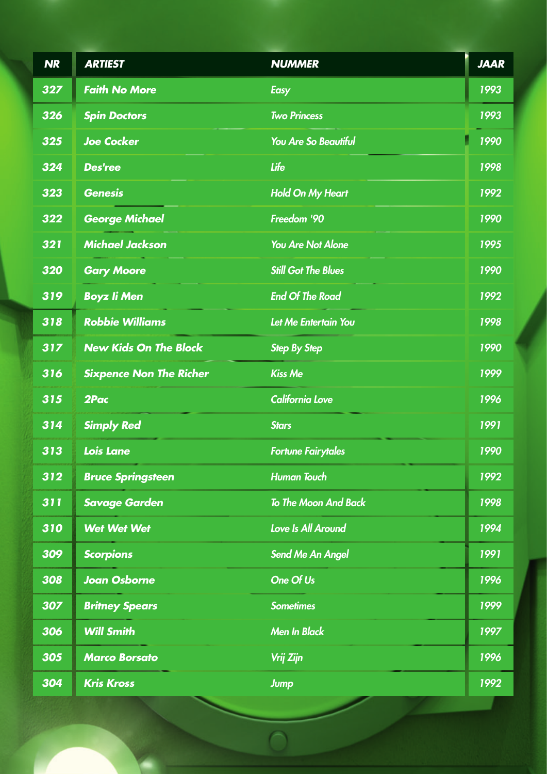| <b>NR</b> | <b>ARTIEST</b>                 | <b>NUMMER</b>               | <b>JAAR</b> |
|-----------|--------------------------------|-----------------------------|-------------|
| 327       | <b>Faith No More</b>           | <b>Easy</b>                 | 1993        |
| 326       | <b>Spin Doctors</b>            | <b>Two Princess</b>         | 1993        |
| 325       | <b>Joe Cocker</b>              | <b>You Are So Beautiful</b> | 1990        |
| 324       | <b>Des'ree</b>                 | Life                        | 1998        |
| 323       | <b>Genesis</b>                 | <b>Hold On My Heart</b>     | 1992        |
| 322       | <b>George Michael</b>          | Freedom '90                 | 1990        |
| 321       | <b>Michael Jackson</b>         | <b>You Are Not Alone</b>    | 1995        |
| 320       | <b>Gary Moore</b>              | <b>Still Got The Blues</b>  | 1990        |
| 319       | <b>Boyz li Men</b>             | <b>End Of The Road</b>      | 1992        |
| 318       | <b>Robbie Williams</b>         | Let Me Entertain You        | 1998        |
| 317       | <b>New Kids On The Block</b>   | <b>Step By Step</b>         | 1990        |
| 316       | <b>Sixpence Non The Richer</b> | <b>Kiss Me</b>              | 1999        |
| 315       | 2Pac                           | <b>California Love</b>      | 1996        |
| 314       | <b>Simply Red</b>              | <b>Stars</b>                | 1991        |
| 313       | <b>Lois Lane</b>               | <b>Fortune Fairytales</b>   | 1990        |
| 312       | <b>Bruce Springsteen</b>       | <b>Human Touch</b>          | 1992        |
| 311       | <b>Savage Garden</b>           | To The Moon And Back        | 1998        |
| 310       | <b>Wet Wet Wet</b>             | Love Is All Around          | 1994        |
| 309       | <b>Scorpions</b>               | <b>Send Me An Angel</b>     | 1991        |
| 308       | <b>Joan Osborne</b>            | One Of Us                   | 1996        |
| 307       | <b>Britney Spears</b>          | <b>Sometimes</b>            | 1999        |
| 306       | <b>Will Smith</b>              | <b>Men In Black</b>         | 1997        |
| 305       | <b>Marco Borsato</b>           | Vrij Zijn                   | 1996        |
| 304       | <b>Kris Kross</b>              | <b>Jump</b>                 | 1992        |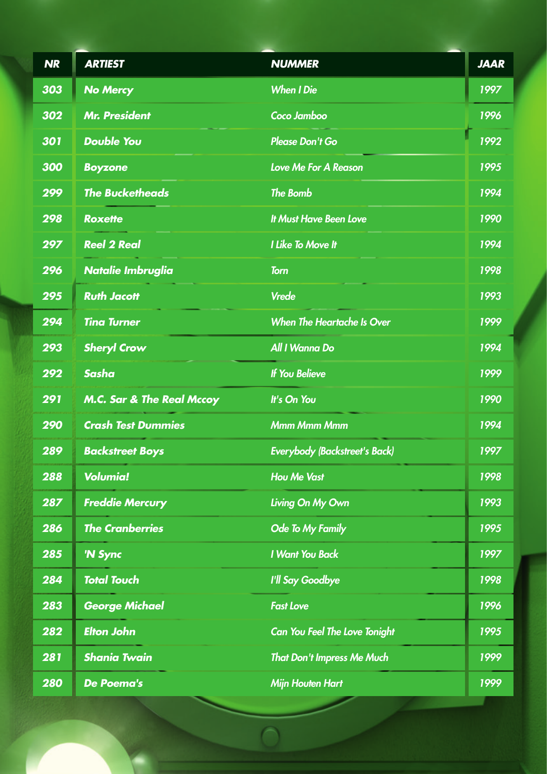| <b>NR</b>  | <b>ARTIEST</b>                       | <b>NUMMER</b>                        | <b>JAAR</b> |
|------------|--------------------------------------|--------------------------------------|-------------|
| 303        | <b>No Mercy</b>                      | <b>When I Die</b>                    | 1997        |
| 302        | <b>Mr. President</b>                 | Coco Jamboo                          | 1996        |
| 301        | <b>Double You</b>                    | <b>Please Don't Go</b>               | 1992        |
| 300        | <b>Boyzone</b>                       | <b>Love Me For A Reason</b>          | 1995        |
| 299        | <b>The Bucketheads</b>               | <b>The Bomb</b>                      | 1994        |
| 298        | <b>Roxette</b>                       | <b>It Must Have Been Love</b>        | 1990        |
| 297        | <b>Reel 2 Real</b>                   | <b>I Like To Move It</b>             | 1994        |
| 296        | <b>Natalie Imbruglia</b>             | <b>Torn</b>                          | 1998        |
| 295        | <b>Ruth Jacott</b>                   | <b>Vrede</b>                         | 1993        |
| 294        | <b>Tina Turner</b>                   | <b>When The Heartache Is Over</b>    | 1999        |
| 293        | <b>Sheryl Crow</b>                   | All I Wanna Do                       | 1994        |
| 292        | <b>Sasha</b>                         | <b>If You Believe</b>                | 1999        |
| 291        | <b>M.C. Sar &amp; The Real Mccoy</b> | It's On You                          | 1990        |
| 290        | <b>Crash Test Dummies</b>            | <b>Mmm Mmm Mmm</b>                   | 1994        |
| 289        | <b>Backstreet Boys</b>               | <b>Everybody (Backstreet's Back)</b> | 1997        |
| 288        | <b>Volumia!</b>                      | <b>Hou Me Vast</b>                   | 1998        |
| 287        | <b>Freddie Mercury</b>               | Living On My Own                     | 1993        |
| 286        | <b>The Cranberries</b>               | Ode To My Family                     | 1995        |
| 285        | 'N Sync                              | <b>I Want You Back</b>               | 1997        |
| 284        | <b>Total Touch</b>                   | I'll Say Goodbye                     | 1998        |
| 283        | <b>George Michael</b>                | <b>Fast Love</b>                     | 1996        |
| 282        | <b>Elton John</b>                    | <b>Can You Feel The Love Tonight</b> | 1995        |
| 281        | <b>Shania Twain</b>                  | <b>That Don't Impress Me Much</b>    | 1999        |
| <b>280</b> | <b>De Poema's</b>                    | <b>Mijn Houten Hart</b>              | 1999        |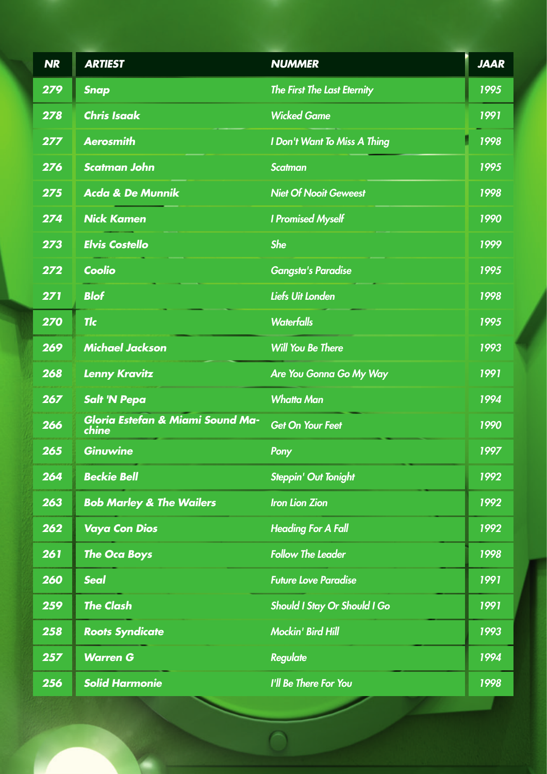| <b>NR</b> | <b>ARTIEST</b>                            | <b>NUMMER</b>                | <b>JAAR</b> |
|-----------|-------------------------------------------|------------------------------|-------------|
| 279       | <b>Snap</b>                               | The First The Last Eternity  | 1995        |
| 278       | <b>Chris Isaak</b>                        | <b>Wicked Game</b>           | 1991        |
| 277       | <b>Aerosmith</b>                          | I Don't Want To Miss A Thing | 1998        |
| 276       | <b>Scatman John</b>                       | <b>Scatman</b>               | 1995        |
| 275       | <b>Acda &amp; De Munnik</b>               | <b>Niet Of Nooit Geweest</b> | 1998        |
| 274       | <b>Nick Kamen</b>                         | <b>I Promised Myself</b>     | 1990        |
| 273       | <b>Elvis Costello</b>                     | <b>She</b>                   | 1999        |
| 272       | Coolio                                    | <b>Gangsta's Paradise</b>    | 1995        |
| 271       | <b>Blof</b>                               | <b>Liefs Uit Londen</b>      | 1998        |
| 270       | <b>Tlc</b>                                | <b>Waterfalls</b>            | 1995        |
| 269       | <b>Michael Jackson</b>                    | <b>Will You Be There</b>     | 1993        |
| 268       | <b>Lenny Kravitz</b>                      | Are You Gonna Go My Way      | 1991        |
| 267       | <b>Salt 'N Pepa</b>                       | <b>Whatta Man</b>            | 1994        |
| 266       | Gloria Estefan & Miami Sound Ma-<br>chine | <b>Get On Your Feet</b>      | 1990        |
| 265       | <b>Ginuwine</b>                           | Pony                         | 1997        |
| 264       | <b>Beckie Bell</b>                        | <b>Steppin' Out Tonight</b>  | 1992        |
| 263       | <b>Bob Marley &amp; The Wailers</b>       | <b>Iron Lion Zion</b>        | 1992        |
| 262       | <b>Vaya Con Dios</b>                      | <b>Heading For A Fall</b>    | 1992        |
| 261       | <b>The Oca Boys</b>                       | <b>Follow The Leader</b>     | 1998        |
| 260       | <b>Seal</b>                               | <b>Future Love Paradise</b>  | 1991        |
| 259       | <b>The Clash</b>                          | Should I Stay Or Should I Go | 1991        |
| 258       | <b>Roots Syndicate</b>                    | <b>Mockin' Bird Hill</b>     | 1993        |
| 257       | <b>Warren G</b>                           | <b>Regulate</b>              | 1994        |
| 256       | <b>Solid Harmonie</b>                     | I'll Be There For You        | 1998        |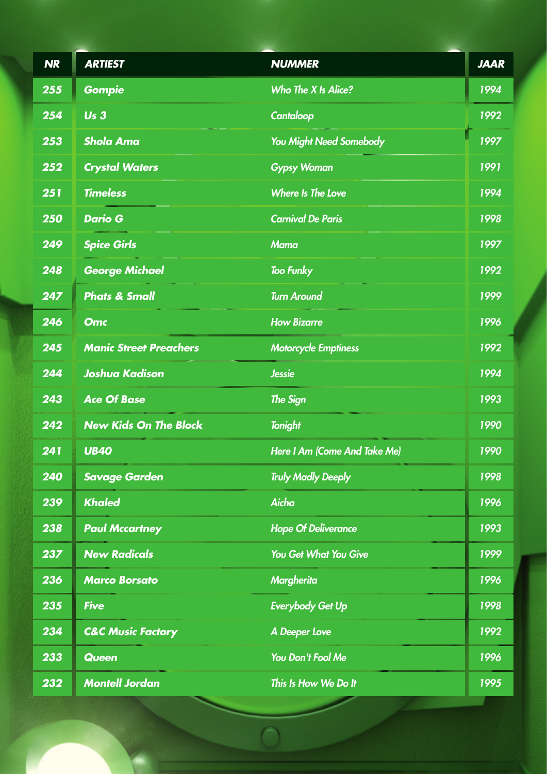| <b>NR</b> | <b>ARTIEST</b>                | <b>NUMMER</b>                | <b>JAAR</b> |
|-----------|-------------------------------|------------------------------|-------------|
| 255       | <b>Gompie</b>                 | Who The X Is Alice?          | 1994        |
| 254       | Us <sub>3</sub>               | Cantaloop                    | 1992        |
| 253       | <b>Shola Ama</b>              | You Might Need Somebody      | 1997        |
| 252       | <b>Crystal Waters</b>         | <b>Gypsy Woman</b>           | 1991        |
| 251       | <b>Timeless</b>               | <b>Where Is The Love</b>     | 1994        |
| 250       | <b>Dario G</b>                | <b>Carnival De Paris</b>     | 1998        |
| 249       | <b>Spice Girls</b>            | <b>Mama</b>                  | 1997        |
| 248       | <b>George Michael</b>         | <b>Too Funky</b>             | 1992        |
| 247       | <b>Phats &amp; Small</b>      | <b>Turn Around</b>           | 1999        |
| 246       | <b>Omc</b>                    | <b>How Bizarre</b>           | 1996        |
| 245       | <b>Manic Street Preachers</b> | <b>Motorcycle Emptiness</b>  | 1992        |
| 244       | <b>Joshua Kadison</b>         | <b>Jessie</b>                | 1994        |
| 243       | <b>Ace Of Base</b>            | <b>The Sign</b>              | 1993        |
| 242       | <b>New Kids On The Block</b>  | <b>Tonight</b>               | 1990        |
| 241       | <b>UB40</b>                   | Here I Am (Come And Take Me) | 1990        |
| 240       | <b>Savage Garden</b>          | <b>Truly Madly Deeply</b>    | 1998        |
| 239       | <b>Khaled</b>                 | <b>Aicha</b>                 | 1996        |
| 238       | <b>Paul Mccartney</b>         | <b>Hope Of Deliverance</b>   | 1993        |
| 237       | <b>New Radicals</b>           | <b>You Get What You Give</b> | 1999        |
| 236       | <b>Marco Borsato</b>          | <b>Margherita</b>            | 1996        |
| 235       | <b>Five</b>                   | <b>Everybody Get Up</b>      | 1998        |
| 234       | <b>C&amp;C Music Factory</b>  | <b>A Deeper Love</b>         | 1992        |
| 233       | <b>Queen</b>                  | You Don't Fool Me            | 1996        |
| 232       | <b>Montell Jordan</b>         | This Is How We Do It         | 1995        |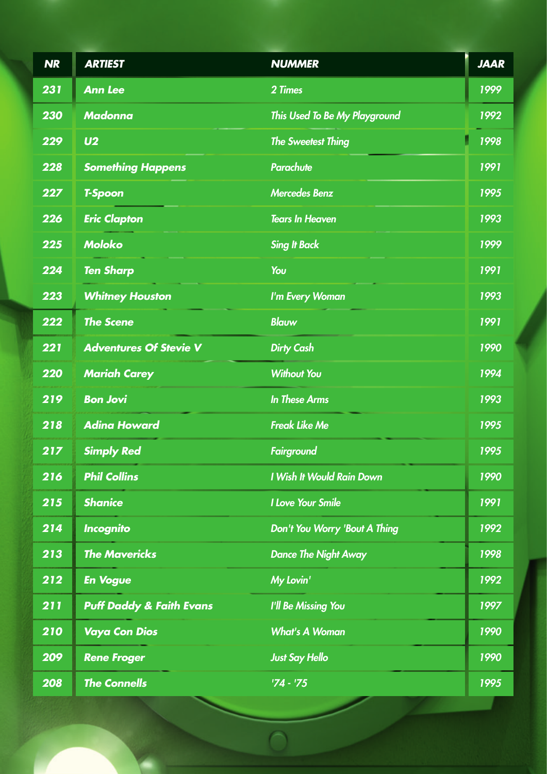| <b>NR</b> | <b>ARTIEST</b>                      | <b>NUMMER</b>                 | <b>JAAR</b> |
|-----------|-------------------------------------|-------------------------------|-------------|
| 231       | <b>Ann Lee</b>                      | 2 Times                       | 1999        |
| 230       | <b>Madonna</b>                      | This Used To Be My Playground | 1992        |
| 229       | U <sub>2</sub>                      | <b>The Sweetest Thing</b>     | 1998        |
| 228       | <b>Something Happens</b>            | <b>Parachute</b>              | 1991        |
| 227       | <b>T-Spoon</b>                      | <b>Mercedes Benz</b>          | 1995        |
| 226       | <b>Eric Clapton</b>                 | <b>Tears In Heaven</b>        | 1993        |
| 225       | <b>Moloko</b>                       | <b>Sing It Back</b>           | 1999        |
| 224       | <b>Ten Sharp</b>                    | You                           | 1991        |
| 223       | <b>Whitney Houston</b>              | I'm Every Woman               | 1993        |
| 222       | <b>The Scene</b>                    | <b>Blauw</b>                  | 1991        |
| 221       | <b>Adventures Of Stevie V</b>       | <b>Dirty Cash</b>             | 1990        |
| 220       | <b>Mariah Carey</b>                 | <b>Without You</b>            | 1994        |
| 219       | <b>Bon Jovi</b>                     | <b>In These Arms</b>          | 1993        |
| 218       | <b>Adina Howard</b>                 | <b>Freak Like Me</b>          | 1995        |
| 217       | <b>Simply Red</b>                   | <b>Fairground</b>             | 1995        |
| 216       | <b>Phil Collins</b>                 | I Wish It Would Rain Down     | 1990        |
| 215       | <b>Shanice</b>                      | <b>I Love Your Smile</b>      | 1991        |
| 214       | <b>Incognito</b>                    | Don't You Worry 'Bout A Thing | 1992        |
| 213       | <b>The Mavericks</b>                | <b>Dance The Night Away</b>   | 1998        |
| 212       | <b>En Vogue</b>                     | My Lovin'                     | 1992        |
| 211       | <b>Puff Daddy &amp; Faith Evans</b> | <b>I'll Be Missing You</b>    | 1997        |
| 210       | <b>Vaya Con Dios</b>                | <b>What's A Woman</b>         | 1990        |
| 209       | <b>Rene Froger</b>                  | <b>Just Say Hello</b>         | 1990        |
| 208       | <b>The Connells</b>                 | $74 - 75$                     | 1995        |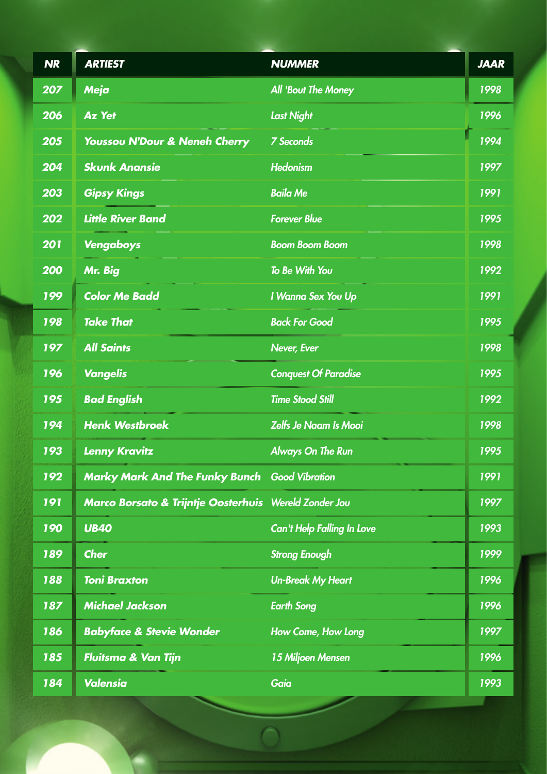| <b>NR</b> | <b>ARTIEST</b>                                        | <b>NUMMER</b>                     | <b>JAAR</b> |
|-----------|-------------------------------------------------------|-----------------------------------|-------------|
| 207       | Meja                                                  | <b>All 'Bout The Money</b>        | 1998        |
| 206       | <b>Az Yet</b>                                         | <b>Last Night</b>                 | 1996        |
| 205       | Youssou N'Dour & Neneh Cherry                         | <b>7 Seconds</b>                  | 1994        |
| 204       | <b>Skunk Anansie</b>                                  | <b>Hedonism</b>                   | 1997        |
| 203       | <b>Gipsy Kings</b>                                    | <b>Baila Me</b>                   | 1991        |
| 202       | <b>Little River Band</b>                              | <b>Forever Blue</b>               | 1995        |
| 201       | Vengaboys                                             | <b>Boom Boom Boom</b>             | 1998        |
| 200       | Mr. Big                                               | To Be With You                    | 1992        |
| 199       | <b>Color Me Badd</b>                                  | I Wanna Sex You Up                | 1991        |
| 198       | <b>Take That</b>                                      | <b>Back For Good</b>              | 1995        |
| 197       | <b>All Saints</b>                                     | <b>Never, Ever</b>                | 1998        |
| 196       | <b>Vangelis</b>                                       | <b>Conquest Of Paradise</b>       | 1995        |
| 195       | <b>Bad English</b>                                    | <b>Time Stood Still</b>           | 1992        |
| 194       | <b>Henk Westbroek</b>                                 | <b>Zelfs Je Naam Is Mooi</b>      | 1998        |
| 193       | <b>Lenny Kravitz</b>                                  | <b>Always On The Run</b>          | 1995        |
| 192       | <b>Marky Mark And The Funky Bunch Good Vibration</b>  |                                   | 1991        |
| 191       | Marco Borsato & Trijntje Oosterhuis Wereld Zonder Jou |                                   | 1997        |
| 190       | <b>UB40</b>                                           | <b>Can't Help Falling In Love</b> | 1993        |
| 189       | <b>Cher</b>                                           | <b>Strong Enough</b>              | 1999        |
| 188       | <b>Toni Braxton</b>                                   | <b>Un-Break My Heart</b>          | 1996        |
| 187       | <b>Michael Jackson</b>                                | <b>Earth Song</b>                 | 1996        |
| 186       | <b>Babyface &amp; Stevie Wonder</b>                   | How Come, How Long                | 1997        |
| 185       | <b>Fluitsma &amp; Van Tijn</b>                        | 15 Miljoen Mensen                 | 1996        |
| 184       | <b>Valensia</b>                                       | Gaia                              | 1993        |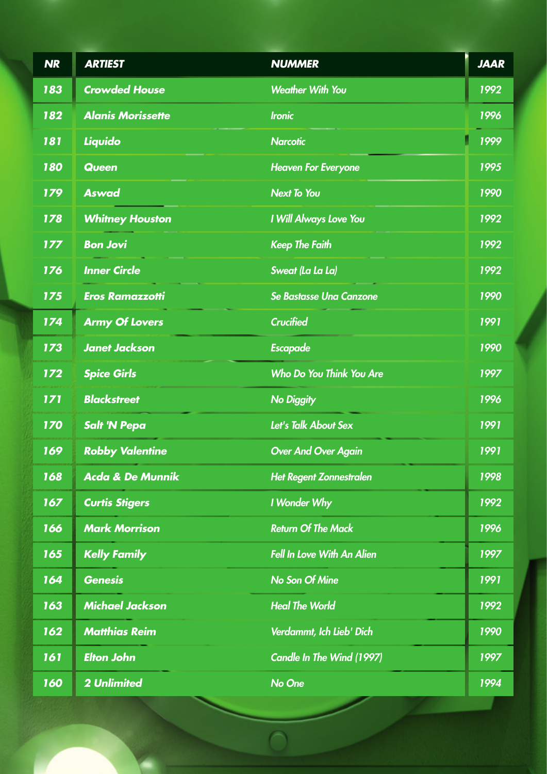| <b>NR</b> | <b>ARTIEST</b>              | <b>NUMMER</b>                     | <b>JAAR</b> |
|-----------|-----------------------------|-----------------------------------|-------------|
| 183       | <b>Crowded House</b>        | <b>Weather With You</b>           | 1992        |
| 182       | <b>Alanis Morissette</b>    | <b>Ironic</b>                     | 1996        |
| 181       | Liquido                     | <b>Narcotic</b>                   | 1999        |
| 180       | <b>Queen</b>                | <b>Heaven For Everyone</b>        | 1995        |
| 179       | <b>Aswad</b>                | <b>Next To You</b>                | 1990        |
| 178       | <b>Whitney Houston</b>      | I Will Always Love You            | 1992        |
| 177       | <b>Bon Jovi</b>             | <b>Keep The Faith</b>             | 1992        |
| 176       | <b>Inner Circle</b>         | Sweat (La La La)                  | 1992        |
| 175       | <b>Eros Ramazzotti</b>      | <b>Se Bastasse Una Canzone</b>    | 1990        |
| 174       | <b>Army Of Lovers</b>       | <b>Crucified</b>                  | 1991        |
| 173       | <b>Janet Jackson</b>        | <b>Escapade</b>                   | 1990        |
| 172       | <b>Spice Girls</b>          | Who Do You Think You Are          | 1997        |
| 171       | <b>Blackstreet</b>          | <b>No Diggity</b>                 | 1996        |
| 170       | <b>Salt 'N Pepa</b>         | Let's Talk About Sex              | 1991        |
| 169       | <b>Robby Valentine</b>      | <b>Over And Over Again</b>        | 1991        |
| 168       | <b>Acda &amp; De Munnik</b> | <b>Het Regent Zonnestralen</b>    | 1998        |
| 167       | <b>Curtis Stigers</b>       | I Wonder Why                      | 1992        |
| 166       | <b>Mark Morrison</b>        | <b>Return Of The Mack</b>         | 1996        |
| 165       | <b>Kelly Family</b>         | <b>Fell In Love With An Alien</b> | 1997        |
| 164       | <b>Genesis</b>              | <b>No Son Of Mine</b>             | 1991        |
| 163       | <b>Michael Jackson</b>      | <b>Heal The World</b>             | 1992        |
| 162       | <b>Matthias Reim</b>        | Verdammt, Ich Lieb' Dich          | 1990        |
| 161       | <b>Elton John</b>           | <b>Candle In The Wind (1997)</b>  | 1997        |
| 160       | <b>2 Unlimited</b>          | No One                            | 1994        |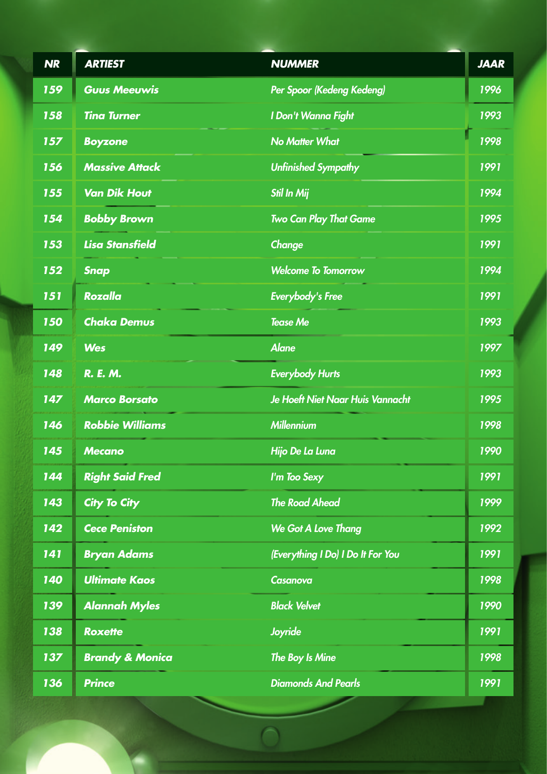| <b>NR</b> | <b>ARTIEST</b>             | <b>NUMMER</b>                           | <b>JAAR</b> |
|-----------|----------------------------|-----------------------------------------|-------------|
| 159       | <b>Guus Meeuwis</b>        | Per Spoor (Kedeng Kedeng)               | 1996        |
| 158       | <b>Tina Turner</b>         | I Don't Wanna Fight                     | 1993        |
| 157       | <b>Boyzone</b>             | <b>No Matter What</b>                   | 1998        |
| 156       | <b>Massive Attack</b>      | <b>Unfinished Sympathy</b>              | 1991        |
| 155       | <b>Van Dik Hout</b>        | <b>Stil In Mij</b>                      | 1994        |
| 154       | <b>Bobby Brown</b>         | <b>Two Can Play That Game</b>           | 1995        |
| 153       | <b>Lisa Stansfield</b>     | Change                                  | 1991        |
| 152       | <b>Snap</b>                | <b>Welcome To Tomorrow</b>              | 1994        |
| 151       | <b>Rozalla</b>             | <b>Everybody's Free</b>                 | 1991        |
| 150       | <b>Chaka Demus</b>         | <b>Tease Me</b>                         | 1993        |
| 149       | <b>Wes</b>                 | <b>Alane</b>                            | 1997        |
| 148       | R. E. M.                   | <b>Everybody Hurts</b>                  | 1993        |
| 147       | <b>Marco Borsato</b>       | <b>Je Hoeft Niet Naar Huis Vannacht</b> | 1995        |
| 146       | <b>Robbie Williams</b>     | <b>Millennium</b>                       | 1998        |
| 145       | <b>Mecano</b>              | Hijo De La Luna                         | 1990        |
| 144       | <b>Right Said Fred</b>     | I'm Too Sexy                            | 1991        |
| 143       | <b>City To City</b>        | <b>The Road Ahead</b>                   | 1999        |
| 142       | <b>Cece Peniston</b>       | We Got A Love Thang                     | 1992        |
| 141       | <b>Bryan Adams</b>         | (Everything I Do) I Do It For You       | 1991        |
| 140       | <b>Ultimate Kaos</b>       | Casanova                                | 1998        |
| 139       | <b>Alannah Myles</b>       | <b>Black Velvet</b>                     | 1990        |
| 138       | <b>Roxette</b>             | <b>Joyride</b>                          | 1991        |
| 137       | <b>Brandy &amp; Monica</b> | The Boy Is Mine                         | 1998        |
| 136       | <b>Prince</b>              | <b>Diamonds And Pearls</b>              | 1991        |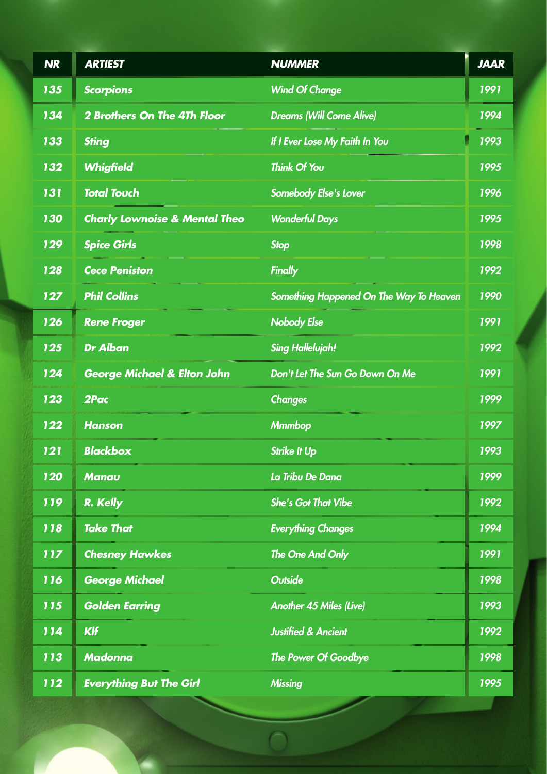| <b>NR</b> | <b>ARTIEST</b>                           | <b>NUMMER</b>                           | <b>JAAR</b> |
|-----------|------------------------------------------|-----------------------------------------|-------------|
| 135       | <b>Scorpions</b>                         | <b>Wind Of Change</b>                   | 1991        |
| 134       | <b>2 Brothers On The 4Th Floor</b>       | <b>Dreams (Will Come Alive)</b>         | 1994        |
| 133       | <b>Sting</b>                             | If I Ever Lose My Faith In You          | 1993        |
| 132       | <b>Whigfield</b>                         | <b>Think Of You</b>                     | 1995        |
| 131       | <b>Total Touch</b>                       | Somebody Else's Lover                   | 1996        |
| 130       | <b>Charly Lownoise &amp; Mental Theo</b> | <b>Wonderful Days</b>                   | 1995        |
| 129       | <b>Spice Girls</b>                       | <b>Stop</b>                             | 1998        |
| 128       | <b>Cece Peniston</b>                     | <b>Finally</b>                          | 1992        |
| 127       | <b>Phil Collins</b>                      | Something Happened On The Way To Heaven | 1990        |
| 126       | <b>Rene Froger</b>                       | <b>Nobody Else</b>                      | 1991        |
| 125       | <b>Dr Alban</b>                          | <b>Sing Hallelujah!</b>                 | 1992        |
| 124       | <b>George Michael &amp; Elton John</b>   | Don't Let The Sun Go Down On Me         | 1991        |
| 123       | 2Pac                                     | <b>Changes</b>                          | 1999        |
| 122       | <b>Hanson</b>                            | <b>Mmmbop</b>                           | 1997        |
| 121       | <b>Blackbox</b>                          | <b>Strike It Up</b>                     | 1993        |
| 120       | <b>Manau</b>                             | La Tribu De Dana                        | 1999        |
| 119       | R. Kelly                                 | <b>She's Got That Vibe</b>              | 1992        |
| 118       | <b>Take That</b>                         | <b>Everything Changes</b>               | 1994        |
| 117       | <b>Chesney Hawkes</b>                    | The One And Only                        | 1991        |
| 116       | <b>George Michael</b>                    | <b>Outside</b>                          | 1998        |
| 115       | <b>Golden Earring</b>                    | <b>Another 45 Miles (Live)</b>          | 1993        |
| 114       | <b>KIf</b>                               | <b>Justified &amp; Ancient</b>          | 1992        |
| 113       | <b>Madonna</b>                           | The Power Of Goodbye                    | 1998        |
| 112       | <b>Everything But The Girl</b>           | <b>Missing</b>                          | 1995        |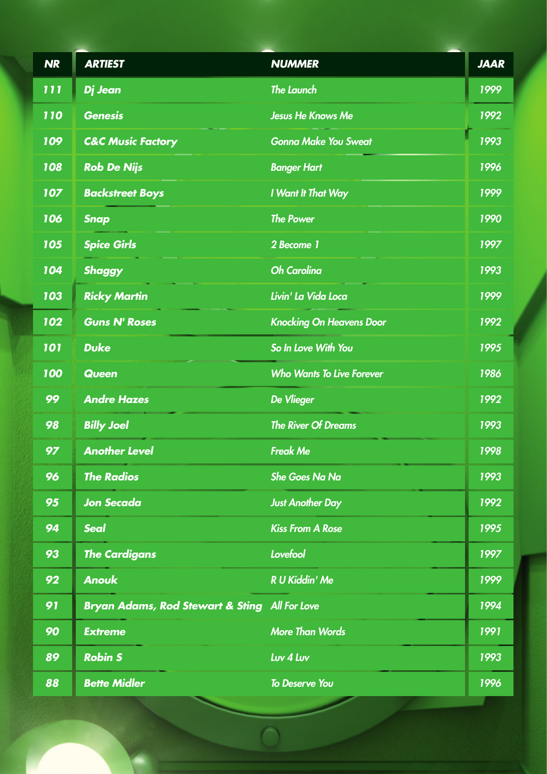| <b>NR</b>  | <b>ARTIEST</b>                                | <b>NUMMER</b>                    | <b>JAAR</b>   |
|------------|-----------------------------------------------|----------------------------------|---------------|
| 111        | Dj Jean                                       | <b>The Launch</b>                | 1999          |
| <b>110</b> | <b>Genesis</b>                                | <b>Jesus He Knows Me</b>         | 1992          |
| 109        | <b>C&amp;C Music Factory</b>                  | <b>Gonna Make You Sweat</b>      | 1993          |
| 108        | <b>Rob De Nijs</b>                            | <b>Banger Hart</b>               | 1996          |
| 107        | <b>Backstreet Boys</b>                        | I Want It That Way               | 1999          |
| 106        | <b>Snap</b>                                   | <b>The Power</b>                 | 1990          |
| 105        | <b>Spice Girls</b>                            | 2 Become 1                       | 1997          |
| 104        | <b>Shaggy</b>                                 | <b>Oh Carolina</b>               | 1993          |
| 103        | <b>Ricky Martin</b>                           | Livin' La Vida Loca              | 1999          |
| 102        | <b>Guns N' Roses</b>                          | <b>Knocking On Heavens Door</b>  | 1992          |
| 101        | <b>Duke</b>                                   | So In Love With You              | 1995          |
| 100        | <b>Queen</b>                                  | <b>Who Wants To Live Forever</b> | 1986          |
| 99         | <b>Andre Hazes</b>                            | <b>De Vlieger</b>                | 1992          |
| 98         | <b>Billy Joel</b>                             | <b>The River Of Dreams</b>       | 1993          |
| 97         | <b>Another Level</b>                          | <b>Freak Me</b>                  | <u> 1998 </u> |
| 96         | <b>The Radios</b>                             | <b>She Goes Na Na</b>            | 1993          |
| 95         | <b>Jon Secada</b>                             | <b>Just Another Day</b>          | 1992          |
| 94         | <b>Seal</b>                                   | <b>Kiss From A Rose</b>          | 1995          |
| 93         | <b>The Cardigans</b>                          | Lovefool                         | 1997          |
| 92         | <b>Anouk</b>                                  | <b>R U Kiddin' Me</b>            | 1999          |
| 91         | Bryan Adams, Rod Stewart & Sting All For Love |                                  | 1994          |
| 90         | <b>Extreme</b>                                | <b>More Than Words</b>           | 1991          |
| 89         | <b>Robin S</b>                                | Luv 4 Luv                        | 1993          |
| 88         | <b>Bette Midler</b>                           | <b>To Deserve You</b>            | 1996          |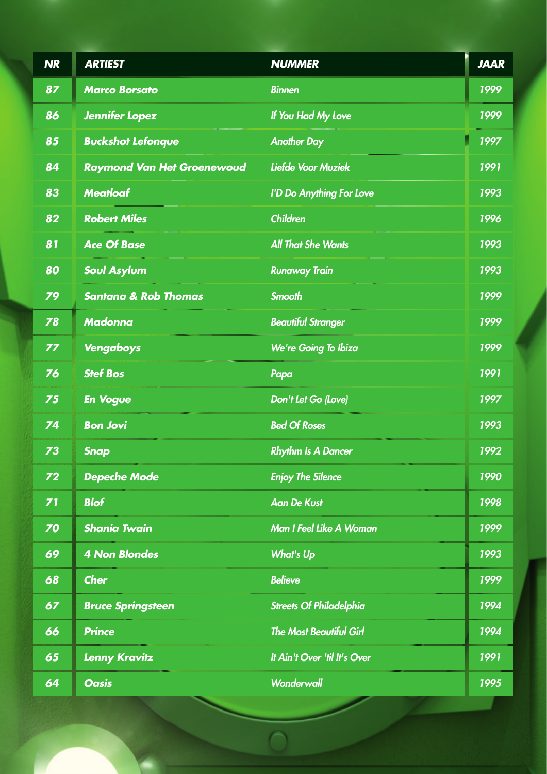| <b>NR</b>      | <b>ARTIEST</b>                    | <b>NUMMER</b>                  | <b>JAAR</b> |
|----------------|-----------------------------------|--------------------------------|-------------|
| 87             | <b>Marco Borsato</b>              | <b>Binnen</b>                  | 1999        |
| 86             | <b>Jennifer Lopez</b>             | If You Had My Love             | 1999        |
| 85             | <b>Buckshot Lefonque</b>          | <b>Another Day</b>             | 1997        |
| 84             | <b>Raymond Van Het Groenewoud</b> | Liefde Voor Muziek             | 1991        |
| 83             | <b>Meatloaf</b>                   | I'D Do Anything For Love       | 1993        |
| 82             | <b>Robert Miles</b>               | <b>Children</b>                | 1996        |
| 81             | <b>Ace Of Base</b>                | <b>All That She Wants</b>      | 1993        |
| 80             | <b>Soul Asylum</b>                | <b>Runaway Train</b>           | 1993        |
| 79             | <b>Santana &amp; Rob Thomas</b>   | <b>Smooth</b>                  | 1999        |
| 78             | <b>Madonna</b>                    | <b>Beautiful Stranger</b>      | 1999        |
| 77             | Vengaboys                         | We're Going To Ibiza           | 1999        |
| 76             | <b>Stef Bos</b>                   | Papa                           | 1991        |
| 75             | <b>En Vogue</b>                   | Don't Let Go (Love)            | 1997        |
| 74             | <b>Bon Jovi</b>                   | <b>Bed Of Roses</b>            | 1993        |
| 73             | <b>Snap</b>                       | <b>Rhythm Is A Dancer</b>      | 1992        |
| Z <sub>2</sub> | <b>Depeche Mode</b>               | <b>Enjoy The Silence</b>       | 1990        |
| 71             | <b>Blof</b>                       | <b>Aan De Kust</b>             | 1998        |
| 70             | <b>Shania Twain</b>               | Man I Feel Like A Woman        | 1999        |
| 69             | <b>4 Non Blondes</b>              | <b>What's Up</b>               | 1993        |
| 68             | <b>Cher</b>                       | <b>Believe</b>                 | 1999        |
| 67             | <b>Bruce Springsteen</b>          | <b>Streets Of Philadelphia</b> | 1994        |
| 66             | <b>Prince</b>                     | <b>The Most Beautiful Girl</b> | 1994        |
| 65             | <b>Lenny Kravitz</b>              | It Ain't Over 'til It's Over   | 1991        |
| 64             | <b>Oasis</b>                      | Wonderwall                     | 1995        |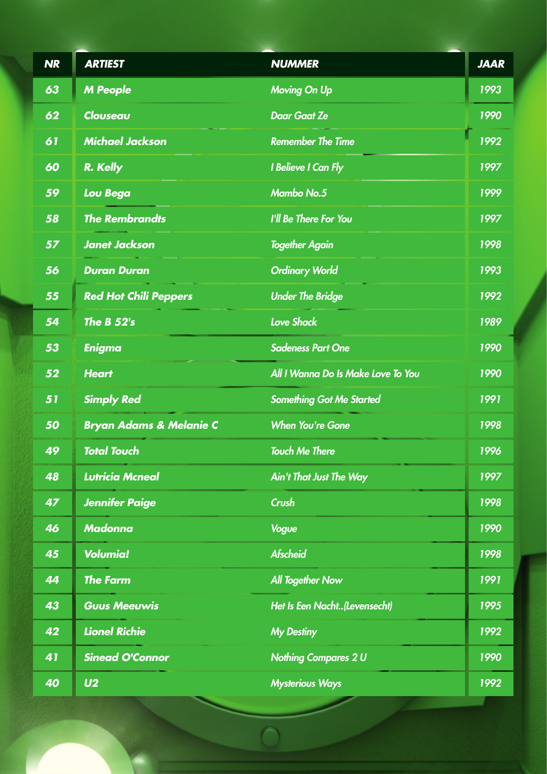| <b>NR</b>       | <b>ARTIEST</b>                     | <b>NUMMER</b>                      | <b>JAAR</b> |
|-----------------|------------------------------------|------------------------------------|-------------|
| 63              | <b>M People</b>                    | <b>Moving On Up</b>                | 1993        |
| 62              | Clouseau                           | <b>Daar Gaat Ze</b>                | 1990        |
| $\overline{61}$ | <b>Michael Jackson</b>             | <b>Remember The Time</b>           | 1992        |
| 60              | R. Kelly                           | I Believe I Can Fly                | 1997        |
| 59              | <b>Lou Bega</b>                    | <b>Mambo No.5</b>                  | 1999        |
| 58              | <b>The Rembrandts</b>              | I'll Be There For You              | 1997        |
| 57              | <b>Janet Jackson</b>               | <b>Together Again</b>              | 1998        |
| 56              | <b>Duran Duran</b>                 | <b>Ordinary World</b>              | 1993        |
| 55              | <b>Red Hot Chili Peppers</b>       | <b>Under The Bridge</b>            | 1992        |
| 54              | <b>The B 52's</b>                  | <b>Love Shack</b>                  | 1989        |
| 53              | <b>Enigma</b>                      | <b>Sadeness Part One</b>           | 1990        |
| 52              | <b>Heart</b>                       | All I Wanna Do Is Make Love To You | 1990        |
| 51              | <b>Simply Red</b>                  | <b>Something Got Me Started</b>    | 1991        |
| 50              | <b>Bryan Adams &amp; Melanie C</b> | <b>When You're Gone</b>            | 1998        |
| 49              | <b>Total Touch</b>                 | <b>Touch Me There</b>              | 1996        |
| 48              | <b>Lutricia Mcneal</b>             | <b>Ain't That Just The Way</b>     | 1997        |
| 47              | <b>Jennifer Paige</b>              | Crush                              | 1998        |
| 46              | <b>Madonna</b>                     | <b>Vogue</b>                       | 1990        |
| 45              | <b>Volumia!</b>                    | <b>Afscheid</b>                    | 1998        |
| 44              | <b>The Farm</b>                    | <b>All Together Now</b>            | 1991        |
| 43              | <b>Guus Meeuwis</b>                | Het Is Een Nacht(Levensecht)       | 1995        |
| 42              | <b>Lionel Richie</b>               | <b>My Destiny</b>                  | 1992        |
| 41              | <b>Sinead O'Connor</b>             | <b>Nothing Compares 2 U</b>        | 1990        |
| 40              | U <sub>2</sub>                     | <b>Mysterious Ways</b>             | 1992        |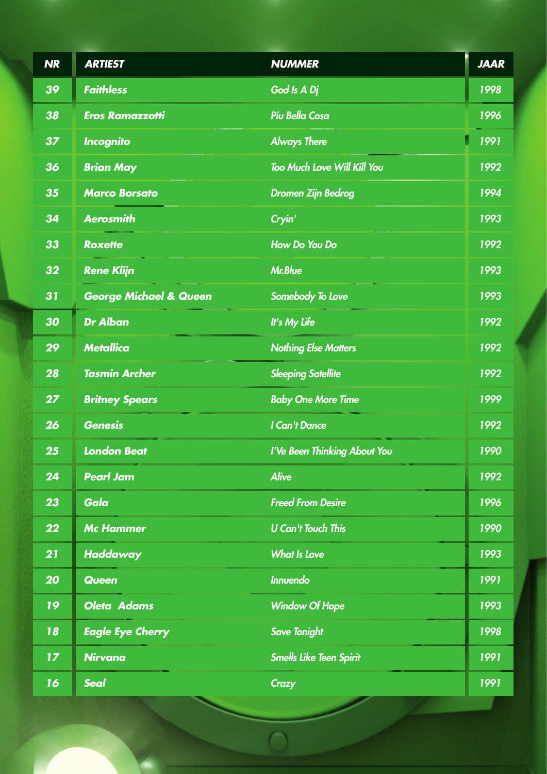| <b>NR</b>       | <b>ARTIEST</b>                    | <b>NUMMER</b>                      | <b>JAAR</b> |
|-----------------|-----------------------------------|------------------------------------|-------------|
| 39              | <b>Faithless</b>                  | God Is A Dj                        | 1998        |
| 38              | <b>Eros Ramazzotti</b>            | <b>Piu Bella Cosa</b>              | 1996        |
| 37              | <b>Incognito</b>                  | <b>Always There</b>                | 1991        |
| 36              | <b>Brian May</b>                  | <b>Too Much Love Will Kill You</b> | 1992        |
| 35              | <b>Marco Borsato</b>              | <b>Dromen Zijn Bedrog</b>          | 1994        |
| 34              | <b>Aerosmith</b>                  | Cryin'                             | 1993        |
| 33              | <b>Roxette</b>                    | How Do You Do                      | 1992        |
| 32              | <b>Rene Klijn</b>                 | <b>Mr.Blue</b>                     | 1993        |
| 31              | <b>George Michael &amp; Queen</b> | Somebody To Love                   | 1993        |
| 30              | <b>Dr Alban</b>                   | It's My Life                       | 1992        |
| 29              | <b>Metallica</b>                  | <b>Nothing Else Matters</b>        | 1992        |
| 28              | <b>Tasmin Archer</b>              | <b>Sleeping Satellite</b>          | 1992        |
| 27 <sub>2</sub> | <b>Britney Spears</b>             | <b>Baby One More Time</b>          | 1999        |
| 26              | <b>Genesis</b>                    | I Can't Dance                      | 1992        |
| 25              | <b>London Beat</b>                | I'Ve Been Thinking About You       | 1990        |
| 24              | <b>Pearl Jam</b>                  | <b>Alive</b>                       | 1992        |
| 23              | Gala                              | <b>Freed From Desire</b>           | 1996        |
| 22              | <b>Mc Hammer</b>                  | <b>U Can't Touch This</b>          | 1990        |
| 21              | <b>Haddaway</b>                   | <b>What Is Love</b>                | 1993        |
| 20              | <b>Queen</b>                      | <b>Innuendo</b>                    | 1991        |
| 19              | <b>Oleta Adams</b>                | <b>Window Of Hope</b>              | 1993        |
| 18              | <b>Eagle Eye Cherry</b>           | <b>Save Tonight</b>                | 1998        |
| 17 <sub>2</sub> | <b>Nirvana</b>                    | <b>Smells Like Teen Spirit</b>     | 1991        |
| 16              | <b>Seal</b>                       | <b>Crazy</b>                       | 1991        |